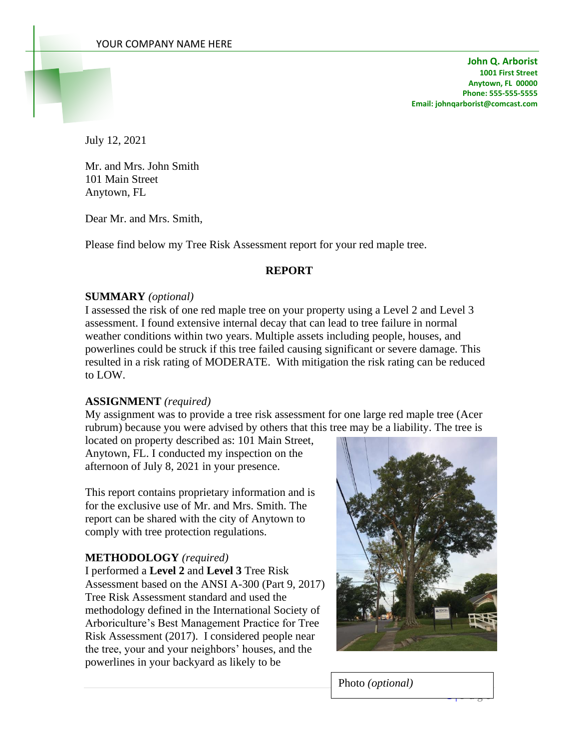**John Q. Arborist 1001 First Street Anytown, FL 00000 Phone: 555-555-5555 Email: johnqarborist@comcast.com**

July 12, 2021

Mr. and Mrs. John Smith 101 Main Street Anytown, FL

Dear Mr. and Mrs. Smith,

Please find below my Tree Risk Assessment report for your red maple tree.

#### **REPORT**

#### **SUMMARY** *(optional)*

I assessed the risk of one red maple tree on your property using a Level 2 and Level 3 assessment. I found extensive internal decay that can lead to tree failure in normal weather conditions within two years. Multiple assets including people, houses, and powerlines could be struck if this tree failed causing significant or severe damage. This resulted in a risk rating of MODERATE. With mitigation the risk rating can be reduced to LOW.

#### **ASSIGNMENT** *(required)*

My assignment was to provide a tree risk assessment for one large red maple tree (Acer rubrum) because you were advised by others that this tree may be a liability. The tree is

located on property described as: 101 Main Street, Anytown, FL. I conducted my inspection on the afternoon of July 8, 2021 in your presence.

This report contains proprietary information and is for the exclusive use of Mr. and Mrs. Smith. The report can be shared with the city of Anytown to comply with tree protection regulations.

#### **METHODOLOGY** *(required)*

I performed a **Level 2** and **Level 3** Tree Risk Assessment based on the ANSI A-300 (Part 9, 2017) Tree Risk Assessment standard and used the methodology defined in the International Society of Arboriculture's Best Management Practice for Tree Risk Assessment (2017). I considered people near the tree, your and your neighbors' houses, and the powerlines in your backyard as likely to be



 $\frac{1}{1 + \frac{1}{2}}$ 

Photo *(optional)*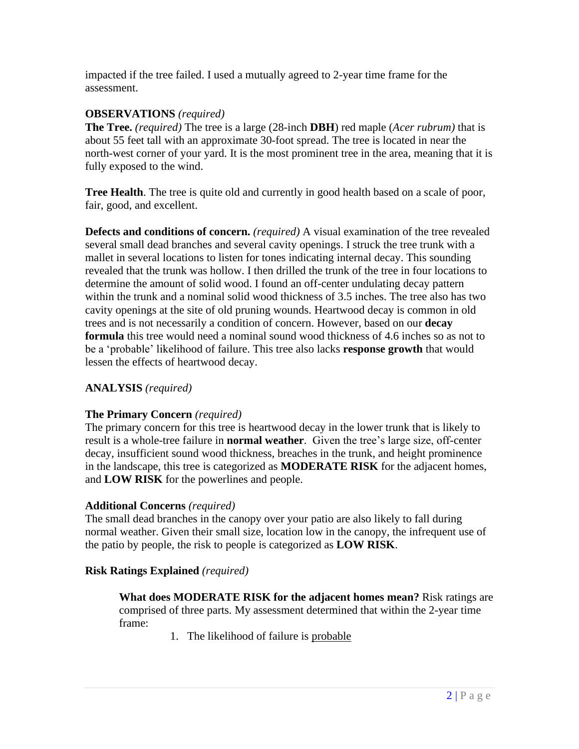impacted if the tree failed. I used a mutually agreed to 2-year time frame for the assessment.

### **OBSERVATIONS** *(required)*

**The Tree.** *(required)* The tree is a large (28-inch **DBH**) red maple (*Acer rubrum)* that is about 55 feet tall with an approximate 30-foot spread. The tree is located in near the north-west corner of your yard. It is the most prominent tree in the area, meaning that it is fully exposed to the wind.

**Tree Health**. The tree is quite old and currently in good health based on a scale of poor, fair, good, and excellent.

**Defects and conditions of concern.** *(required)* A visual examination of the tree revealed several small dead branches and several cavity openings. I struck the tree trunk with a mallet in several locations to listen for tones indicating internal decay. This sounding revealed that the trunk was hollow. I then drilled the trunk of the tree in four locations to determine the amount of solid wood. I found an off-center undulating decay pattern within the trunk and a nominal solid wood thickness of 3.5 inches. The tree also has two cavity openings at the site of old pruning wounds. Heartwood decay is common in old trees and is not necessarily a condition of concern. However, based on our **decay** formula this tree would need a nominal sound wood thickness of 4.6 inches so as not to be a 'probable' likelihood of failure. This tree also lacks **response growth** that would lessen the effects of heartwood decay.

## **ANALYSIS** *(required)*

### **The Primary Concern** *(required)*

The primary concern for this tree is heartwood decay in the lower trunk that is likely to result is a whole-tree failure in **normal weather**. Given the tree's large size, off-center decay, insufficient sound wood thickness, breaches in the trunk, and height prominence in the landscape, this tree is categorized as **MODERATE RISK** for the adjacent homes, and **LOW RISK** for the powerlines and people.

### **Additional Concerns** *(required)*

The small dead branches in the canopy over your patio are also likely to fall during normal weather. Given their small size, location low in the canopy, the infrequent use of the patio by people, the risk to people is categorized as **LOW RISK**.

### **Risk Ratings Explained** *(required)*

**What does MODERATE RISK for the adjacent homes mean?** Risk ratings are comprised of three parts. My assessment determined that within the 2-year time frame:

1. The likelihood of failure is probable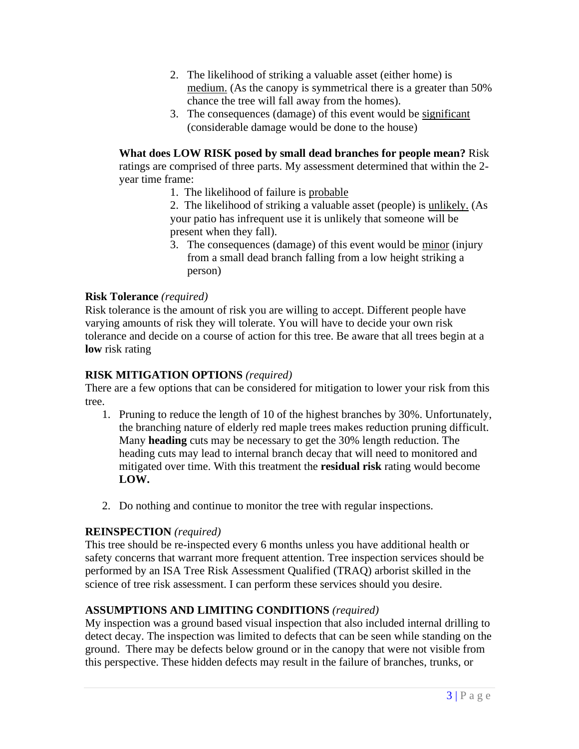- 2. The likelihood of striking a valuable asset (either home) is medium. (As the canopy is symmetrical there is a greater than 50% chance the tree will fall away from the homes).
- 3. The consequences (damage) of this event would be significant (considerable damage would be done to the house)

**What does LOW RISK posed by small dead branches for people mean?** Risk ratings are comprised of three parts. My assessment determined that within the 2 year time frame:

1. The likelihood of failure is probable

2. The likelihood of striking a valuable asset (people) is unlikely. (As your patio has infrequent use it is unlikely that someone will be present when they fall).

3. The consequences (damage) of this event would be minor (injury from a small dead branch falling from a low height striking a person)

## **Risk Tolerance** *(required)*

Risk tolerance is the amount of risk you are willing to accept. Different people have varying amounts of risk they will tolerate. You will have to decide your own risk tolerance and decide on a course of action for this tree. Be aware that all trees begin at a **low** risk rating

## **RISK MITIGATION OPTIONS** *(required)*

There are a few options that can be considered for mitigation to lower your risk from this tree.

- 1. Pruning to reduce the length of 10 of the highest branches by 30%. Unfortunately, the branching nature of elderly red maple trees makes reduction pruning difficult. Many **heading** cuts may be necessary to get the 30% length reduction. The heading cuts may lead to internal branch decay that will need to monitored and mitigated over time. With this treatment the **residual risk** rating would become **LOW.**
- 2. Do nothing and continue to monitor the tree with regular inspections.

## **REINSPECTION** *(required)*

This tree should be re-inspected every 6 months unless you have additional health or safety concerns that warrant more frequent attention. Tree inspection services should be performed by an ISA Tree Risk Assessment Qualified (TRAQ) arborist skilled in the science of tree risk assessment. I can perform these services should you desire.

# **ASSUMPTIONS AND LIMITING CONDITIONS** *(required)*

My inspection was a ground based visual inspection that also included internal drilling to detect decay. The inspection was limited to defects that can be seen while standing on the ground. There may be defects below ground or in the canopy that were not visible from this perspective. These hidden defects may result in the failure of branches, trunks, or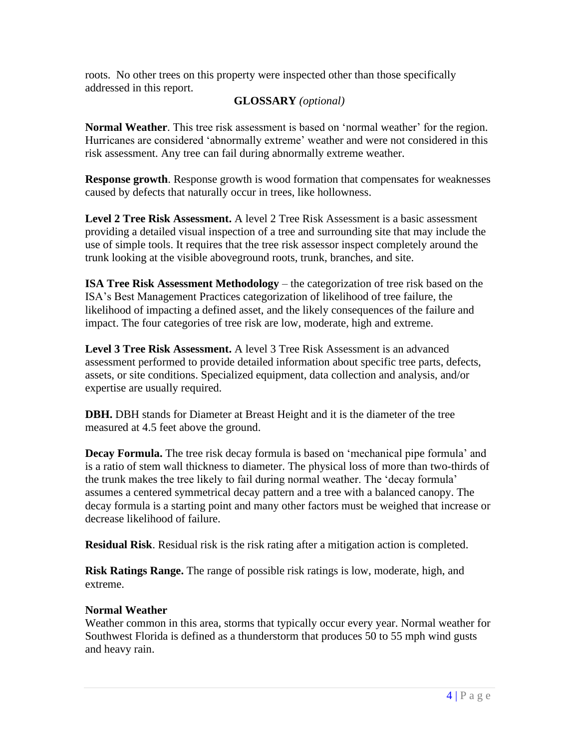roots. No other trees on this property were inspected other than those specifically addressed in this report.

### **GLOSSARY** *(optional)*

**Normal Weather**. This tree risk assessment is based on 'normal weather' for the region. Hurricanes are considered 'abnormally extreme' weather and were not considered in this risk assessment. Any tree can fail during abnormally extreme weather.

**Response growth**. Response growth is wood formation that compensates for weaknesses caused by defects that naturally occur in trees, like hollowness.

**Level 2 Tree Risk Assessment.** A level 2 Tree Risk Assessment is a basic assessment providing a detailed visual inspection of a tree and surrounding site that may include the use of simple tools. It requires that the tree risk assessor inspect completely around the trunk looking at the visible aboveground roots, trunk, branches, and site.

**ISA Tree Risk Assessment Methodology** – the categorization of tree risk based on the ISA's Best Management Practices categorization of likelihood of tree failure, the likelihood of impacting a defined asset, and the likely consequences of the failure and impact. The four categories of tree risk are low, moderate, high and extreme.

**Level 3 Tree Risk Assessment.** A level 3 Tree Risk Assessment is an advanced assessment performed to provide detailed information about specific tree parts, defects, assets, or site conditions. Specialized equipment, data collection and analysis, and/or expertise are usually required.

**DBH.** DBH stands for Diameter at Breast Height and it is the diameter of the tree measured at 4.5 feet above the ground.

**Decay Formula.** The tree risk decay formula is based on 'mechanical pipe formula' and is a ratio of stem wall thickness to diameter. The physical loss of more than two-thirds of the trunk makes the tree likely to fail during normal weather. The 'decay formula' assumes a centered symmetrical decay pattern and a tree with a balanced canopy. The decay formula is a starting point and many other factors must be weighed that increase or decrease likelihood of failure.

**Residual Risk**. Residual risk is the risk rating after a mitigation action is completed.

**Risk Ratings Range.** The range of possible risk ratings is low, moderate, high, and extreme.

## **Normal Weather**

Weather common in this area, storms that typically occur every year. Normal weather for Southwest Florida is defined as a thunderstorm that produces 50 to 55 mph wind gusts and heavy rain.